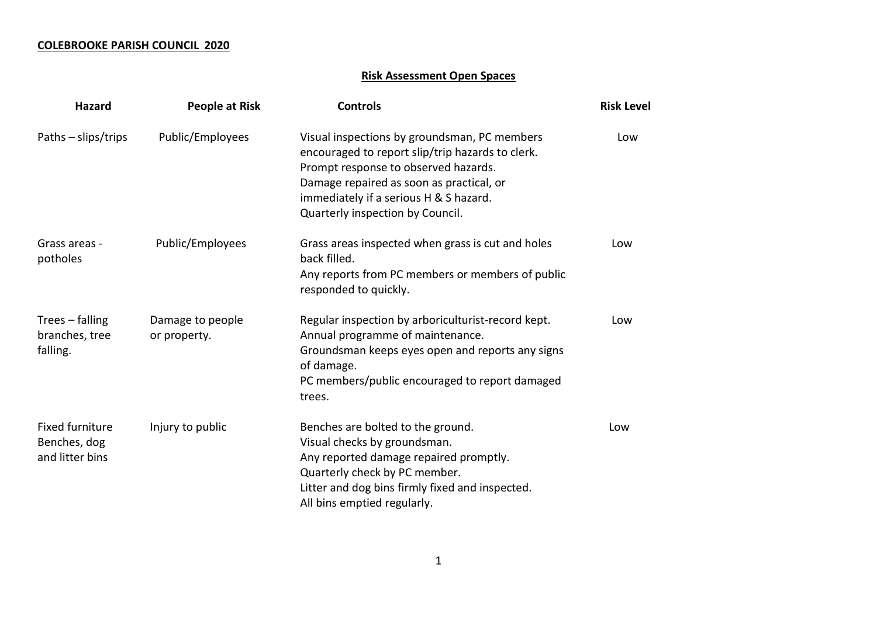## **COLEBROOKE PARISH COUNCIL 2020**

## **Risk Assessment Open Spaces**

| <b>Hazard</b>                                             | People at Risk                   | <b>Controls</b>                                                                                                                                                                                                                                                    | <b>Risk Level</b> |
|-----------------------------------------------------------|----------------------------------|--------------------------------------------------------------------------------------------------------------------------------------------------------------------------------------------------------------------------------------------------------------------|-------------------|
| Paths – slips/trips                                       | Public/Employees                 | Visual inspections by groundsman, PC members<br>encouraged to report slip/trip hazards to clerk.<br>Prompt response to observed hazards.<br>Damage repaired as soon as practical, or<br>immediately if a serious H & S hazard.<br>Quarterly inspection by Council. | Low               |
| Grass areas -<br>potholes                                 | Public/Employees                 | Grass areas inspected when grass is cut and holes<br>back filled.<br>Any reports from PC members or members of public<br>responded to quickly.                                                                                                                     | Low               |
| Trees - falling<br>branches, tree<br>falling.             | Damage to people<br>or property. | Regular inspection by arboriculturist-record kept.<br>Annual programme of maintenance.<br>Groundsman keeps eyes open and reports any signs<br>of damage.<br>PC members/public encouraged to report damaged<br>trees.                                               | Low               |
| <b>Fixed furniture</b><br>Benches, dog<br>and litter bins | Injury to public                 | Benches are bolted to the ground.<br>Visual checks by groundsman.<br>Any reported damage repaired promptly.<br>Quarterly check by PC member.<br>Litter and dog bins firmly fixed and inspected.<br>All bins emptied regularly.                                     | Low               |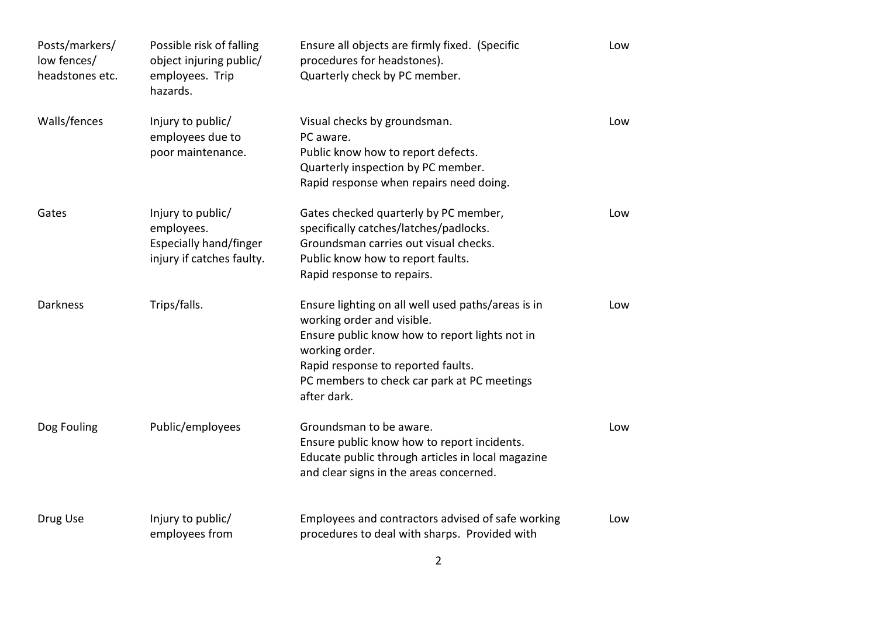| Posts/markers/<br>low fences/<br>headstones etc. | Possible risk of falling<br>object injuring public/<br>employees. Trip<br>hazards.            | Ensure all objects are firmly fixed. (Specific<br>procedures for headstones).<br>Quarterly check by PC member.                                                                                                                                           | Low |
|--------------------------------------------------|-----------------------------------------------------------------------------------------------|----------------------------------------------------------------------------------------------------------------------------------------------------------------------------------------------------------------------------------------------------------|-----|
| Walls/fences                                     | Injury to public/<br>employees due to<br>poor maintenance.                                    | Visual checks by groundsman.<br>PC aware.<br>Public know how to report defects.<br>Quarterly inspection by PC member.<br>Rapid response when repairs need doing.                                                                                         | Low |
| Gates                                            | Injury to public/<br>employees.<br><b>Especially hand/finger</b><br>injury if catches faulty. | Gates checked quarterly by PC member,<br>specifically catches/latches/padlocks.<br>Groundsman carries out visual checks.<br>Public know how to report faults.<br>Rapid response to repairs.                                                              | Low |
| <b>Darkness</b>                                  | Trips/falls.                                                                                  | Ensure lighting on all well used paths/areas is in<br>working order and visible.<br>Ensure public know how to report lights not in<br>working order.<br>Rapid response to reported faults.<br>PC members to check car park at PC meetings<br>after dark. | Low |
| Dog Fouling                                      | Public/employees                                                                              | Groundsman to be aware.<br>Ensure public know how to report incidents.<br>Educate public through articles in local magazine<br>and clear signs in the areas concerned.                                                                                   | Low |
| Drug Use                                         | Injury to public/<br>employees from                                                           | Employees and contractors advised of safe working<br>procedures to deal with sharps. Provided with                                                                                                                                                       | Low |